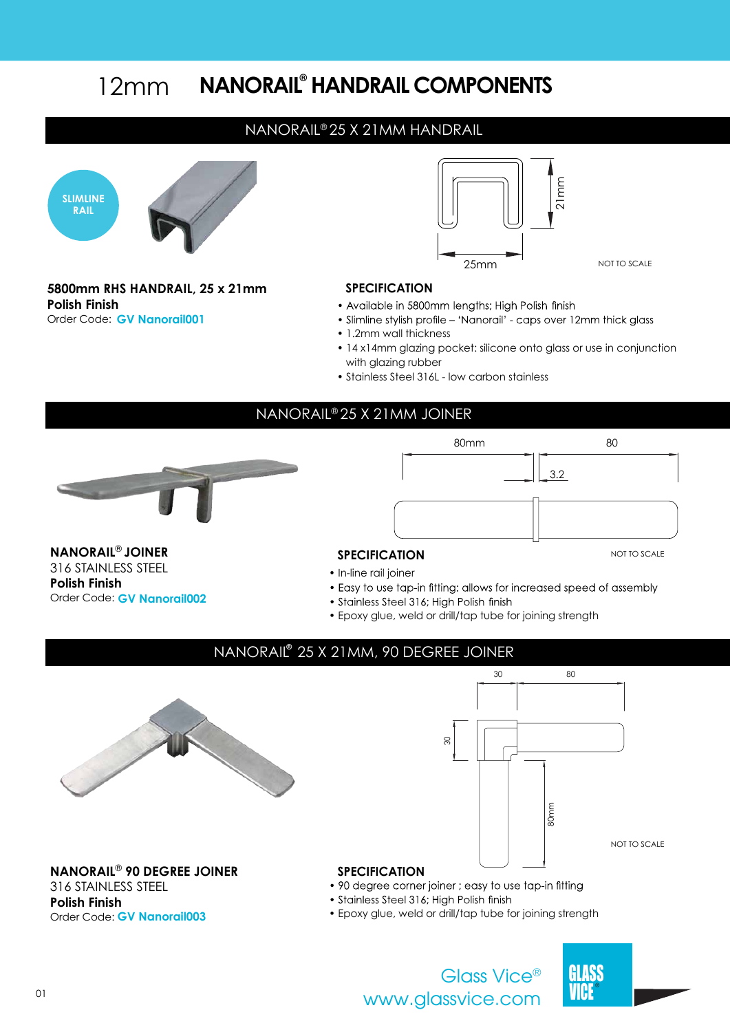#### **NANORAIL HANDRAIL COMPONENTS ®** 12mm

#### NANORAIL® 25 X 21MM HANDRAIL



**5800mm RHS HANDRAIL, 25 x 21mm SPECIFICATION Polish Finish** Order Code: **GV Nanorail001**



- Available in 5800mm lengths; High Polish finish
- Slimline stylish profile 'Nanorail' caps over 12mm thick glass
- 1.2mm wall thickness
- 14 x14mm glazing pocket: silicone onto glass or use in conjunction with glazing rubber
- Stainless Steel 316L low carbon stainless

### NANORAIL® 25 X 21MM JOINER



316 STAINLESS STEEL

Order Code: **GV Nanorail002**

**Polish Finish**

80mm 80 3.2

#### **NANORAIL<sup>®</sup> JOINER** SPECIFICATION

- **•** In-line rail joiner
- Easy to use tap-in fitting: allows for increased speed of assembly
- Stainless Steel 316; High Polish finish
- Epoxy glue, weld or drill/tap tube for joining strength



# NANORAIL<sup>®</sup> 25 X 21MM, 90 DEGREE JOINER 80mm 30 80 ଟି NOT TO SCALE





NOT TO SCALE

**NANORAIL<sup>®</sup> 90 DEGREE JOINER**<br>
316 STAINI FSS STFFI<br> **•** 90 degree corner joiner ; easy to use tap-in fitting 316 STAINLESS STEEL **Polish Finish** Order Code: **GV Nanorail003**

- 
- 
- Stainless Steel 316; High Polish finish
- Epoxy glue, weld or drill/tap tube for joining strength



www.glassvice.com